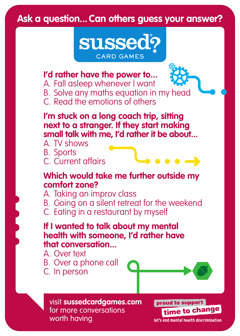

### **I'd rather have the power to...**

- A. Fall asleep whenever I want
- B. Solve any maths equation in my head
- C. Read the emotions of others

**I'm stuck on a long coach trip, sitting next to a stranger. If they start making small talk with me, I'd rather it be about...**

- A. TV shows
- B. Sports

C. Current affairs

#### **Which would take me further outside my comfort zone?**

A. Taking an improv class

- B. Going on a silent retreat for the weekend
- C. Eating in a restaurant by myself

**If I wanted to talk about my mental health with someone, I'd rather have that conversation...**

A. Over text

B. Over a phone call C. In person



 $\bullet\bullet\bullet\to$ 

visit **sussedcardgames.com** for more conversations worth having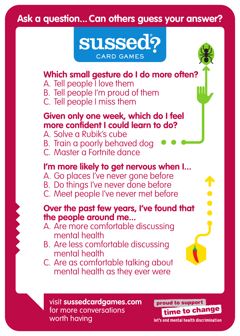

## **Which small gesture do I do more often?**

A. Tell people I love them

- B. Tell people I'm proud of them
- C. Tell people I miss them

### **Given only one week, which do I feel more confident I could learn to do?**

A. Solve a Rubik's cube B. Train a poorly behaved dog

C. Master a Fortnite dance

## **I'm more likely to get nervous when I...**

- A. Go places I've never gone before
- B. Do things I've never done before
- C. Meet people I've never met before

#### **Over the past few years, I've found that the people around me...**

- A. Are more comfortable discussing mental health
- B. Are less comfortable discussing mental health
- C. Are as comfortable talking about mental health as they ever were

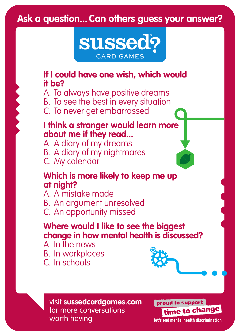

### **If I could have one wish, which would it be?**

A. To always have positive dreams B. To see the best in every situation C. To never get embarrassed

### **I think a stranger would learn more about me if they read...**

A. A diary of my dreams B. A diary of my nightmares C. My calendar

### **Which is more likely to keep me up at night?**

A. A mistake made B. An argument unresolved C. An opportunity missed

## **Where would I like to see the biggest change in how mental health is discussed?**

A. In the news B. In workplaces C. In schools





visit **sussedcardgames.com** for more conversations worth having